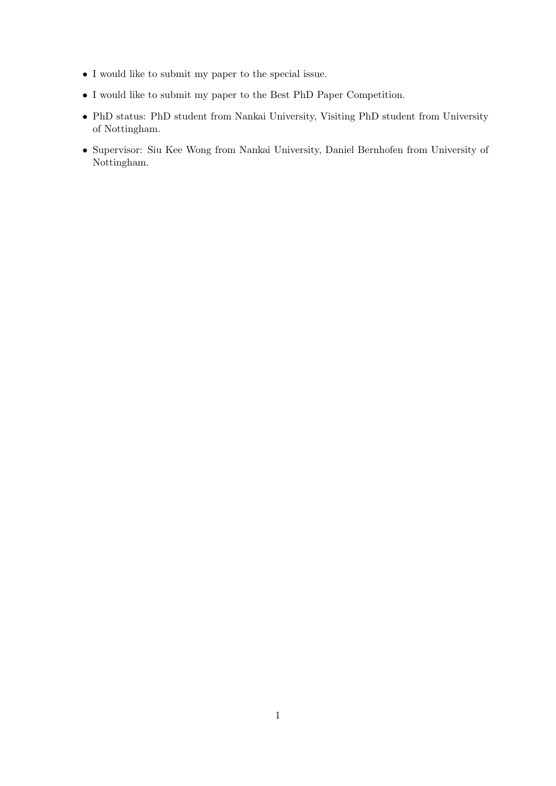- I would like to submit my paper to the special issue.
- $\bullet$  I would like to submit my paper to the Best PhD Paper Competition.
- PhD status: PhD student from Nankai University, Visiting PhD student from University of Nottingham.
- Supervisor: Siu Kee Wong from Nankai University, Daniel Bernhofen from University of Nottingham.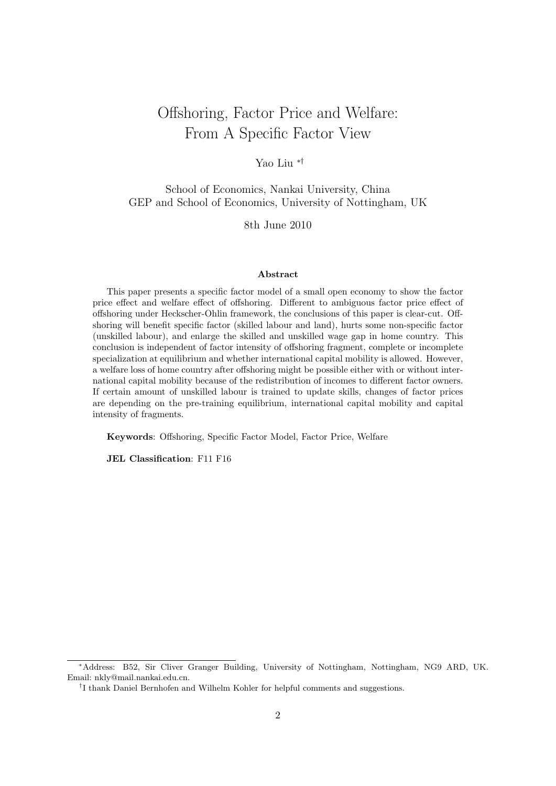# Offshoring, Factor Price and Welfare: From A Specific Factor View

Yao Liu ∗†

School of Economics, Nankai University, China GEP and School of Economics, University of Nottingham, UK

8th June 2010

#### Abstract

This paper presents a specific factor model of a small open economy to show the factor price effect and welfare effect of offshoring. Different to ambiguous factor price effect of offshoring under Heckscher-Ohlin framework, the conclusions of this paper is clear-cut. Offshoring will benefit specific factor (skilled labour and land), hurts some non-specific factor (unskilled labour), and enlarge the skilled and unskilled wage gap in home country. This conclusion is independent of factor intensity of offshoring fragment, complete or incomplete specialization at equilibrium and whether international capital mobility is allowed. However, a welfare loss of home country after offshoring might be possible either with or without international capital mobility because of the redistribution of incomes to different factor owners. If certain amount of unskilled labour is trained to update skills, changes of factor prices are depending on the pre-training equilibrium, international capital mobility and capital intensity of fragments.

Keywords: Offshoring, Specific Factor Model, Factor Price, Welfare

JEL Classification: F11 F16

<sup>∗</sup>Address: B52, Sir Cliver Granger Building, University of Nottingham, Nottingham, NG9 ARD, UK. Email: nkly@mail.nankai.edu.cn.

<sup>&</sup>lt;sup>†</sup>I thank Daniel Bernhofen and Wilhelm Kohler for helpful comments and suggestions.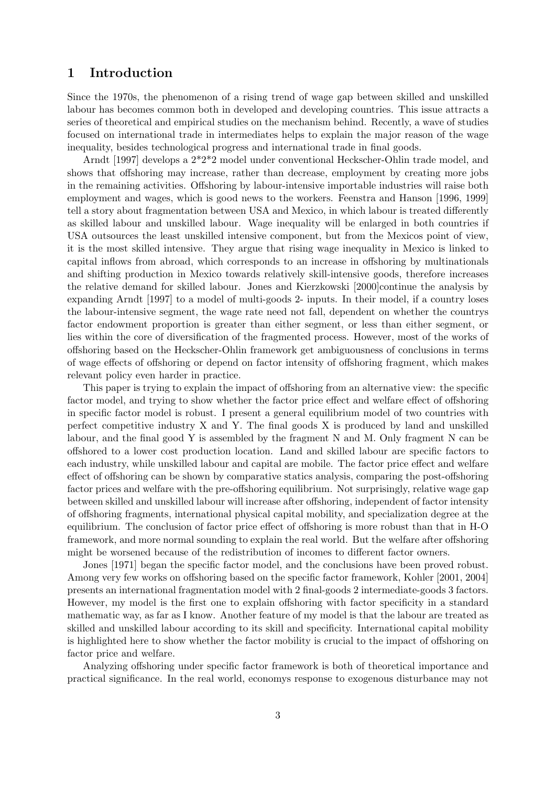### 1 Introduction

Since the 1970s, the phenomenon of a rising trend of wage gap between skilled and unskilled labour has becomes common both in developed and developing countries. This issue attracts a series of theoretical and empirical studies on the mechanism behind. Recently, a wave of studies focused on international trade in intermediates helps to explain the major reason of the wage inequality, besides technological progress and international trade in final goods.

Arndt [1997] develops a 2\*2\*2 model under conventional Heckscher-Ohlin trade model, and shows that offshoring may increase, rather than decrease, employment by creating more jobs in the remaining activities. Offshoring by labour-intensive importable industries will raise both employment and wages, which is good news to the workers. Feenstra and Hanson [1996, 1999] tell a story about fragmentation between USA and Mexico, in which labour is treated differently as skilled labour and unskilled labour. Wage inequality will be enlarged in both countries if USA outsources the least unskilled intensive component, but from the Mexicos point of view, it is the most skilled intensive. They argue that rising wage inequality in Mexico is linked to capital inflows from abroad, which corresponds to an increase in offshoring by multinationals and shifting production in Mexico towards relatively skill-intensive goods, therefore increases the relative demand for skilled labour. Jones and Kierzkowski [2000]continue the analysis by expanding Arndt [1997] to a model of multi-goods 2- inputs. In their model, if a country loses the labour-intensive segment, the wage rate need not fall, dependent on whether the countrys factor endowment proportion is greater than either segment, or less than either segment, or lies within the core of diversification of the fragmented process. However, most of the works of offshoring based on the Heckscher-Ohlin framework get ambiguousness of conclusions in terms of wage effects of offshoring or depend on factor intensity of offshoring fragment, which makes relevant policy even harder in practice.

This paper is trying to explain the impact of offshoring from an alternative view: the specific factor model, and trying to show whether the factor price effect and welfare effect of offshoring in specific factor model is robust. I present a general equilibrium model of two countries with perfect competitive industry X and Y. The final goods X is produced by land and unskilled labour, and the final good Y is assembled by the fragment N and M. Only fragment N can be offshored to a lower cost production location. Land and skilled labour are specific factors to each industry, while unskilled labour and capital are mobile. The factor price effect and welfare effect of offshoring can be shown by comparative statics analysis, comparing the post-offshoring factor prices and welfare with the pre-offshoring equilibrium. Not surprisingly, relative wage gap between skilled and unskilled labour will increase after offshoring, independent of factor intensity of offshoring fragments, international physical capital mobility, and specialization degree at the equilibrium. The conclusion of factor price effect of offshoring is more robust than that in H-O framework, and more normal sounding to explain the real world. But the welfare after offshoring might be worsened because of the redistribution of incomes to different factor owners.

Jones [1971] began the specific factor model, and the conclusions have been proved robust. Among very few works on offshoring based on the specific factor framework, Kohler [2001, 2004] presents an international fragmentation model with 2 final-goods 2 intermediate-goods 3 factors. However, my model is the first one to explain offshoring with factor specificity in a standard mathematic way, as far as I know. Another feature of my model is that the labour are treated as skilled and unskilled labour according to its skill and specificity. International capital mobility is highlighted here to show whether the factor mobility is crucial to the impact of offshoring on factor price and welfare.

Analyzing offshoring under specific factor framework is both of theoretical importance and practical significance. In the real world, economys response to exogenous disturbance may not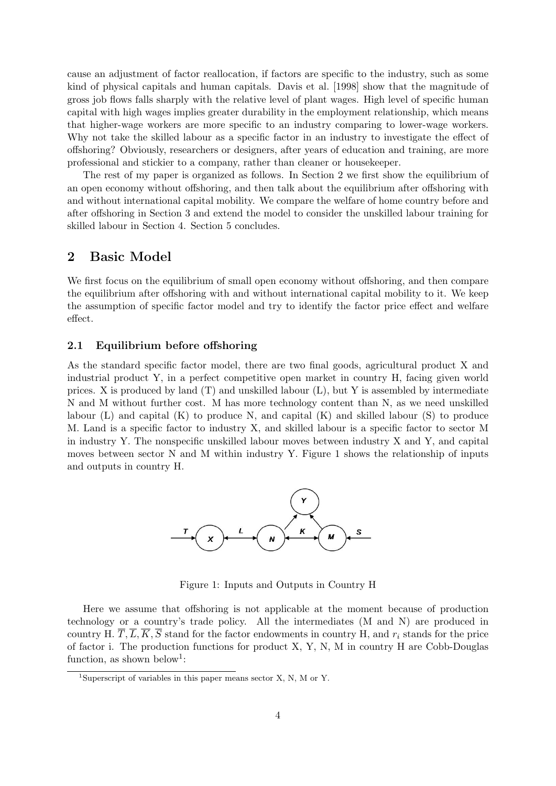cause an adjustment of factor reallocation, if factors are specific to the industry, such as some kind of physical capitals and human capitals. Davis et al. [1998] show that the magnitude of gross job flows falls sharply with the relative level of plant wages. High level of specific human capital with high wages implies greater durability in the employment relationship, which means that higher-wage workers are more specific to an industry comparing to lower-wage workers. Why not take the skilled labour as a specific factor in an industry to investigate the effect of offshoring? Obviously, researchers or designers, after years of education and training, are more professional and stickier to a company, rather than cleaner or housekeeper.

The rest of my paper is organized as follows. In Section 2 we first show the equilibrium of an open economy without offshoring, and then talk about the equilibrium after offshoring with and without international capital mobility. We compare the welfare of home country before and after offshoring in Section 3 and extend the model to consider the unskilled labour training for skilled labour in Section 4. Section 5 concludes.

### 2 Basic Model

We first focus on the equilibrium of small open economy without offshoring, and then compare the equilibrium after offshoring with and without international capital mobility to it. We keep the assumption of specific factor model and try to identify the factor price effect and welfare effect.

### 2.1 Equilibrium before offshoring

As the standard specific factor model, there are two final goods, agricultural product X and industrial product Y, in a perfect competitive open market in country H, facing given world prices. X is produced by land  $(T)$  and unskilled labour  $(L)$ , but Y is assembled by intermediate N and M without further cost. M has more technology content than N, as we need unskilled labour  $(L)$  and capital  $(K)$  to produce N, and capital  $(K)$  and skilled labour  $(S)$  to produce M. Land is a specific factor to industry X, and skilled labour is a specific factor to sector M in industry Y. The nonspecific unskilled labour moves between industry X and Y, and capital moves between sector N and M within industry Y. Figure 1 shows the relationship of inputs and outputs in country H.



Figure 1: Inputs and Outputs in Country H

Here we assume that offshoring is not applicable at the moment because of production technology or a country's trade policy. All the intermediates (M and N) are produced in country H.  $\overline{T}, \overline{L}, \overline{K}, \overline{S}$  stand for the factor endowments in country H, and  $r_i$  stands for the price of factor i. The production functions for product X, Y, N, M in country H are Cobb-Douglas function, as shown below<sup>1</sup>:

<sup>&</sup>lt;sup>1</sup>Superscript of variables in this paper means sector X, N, M or Y.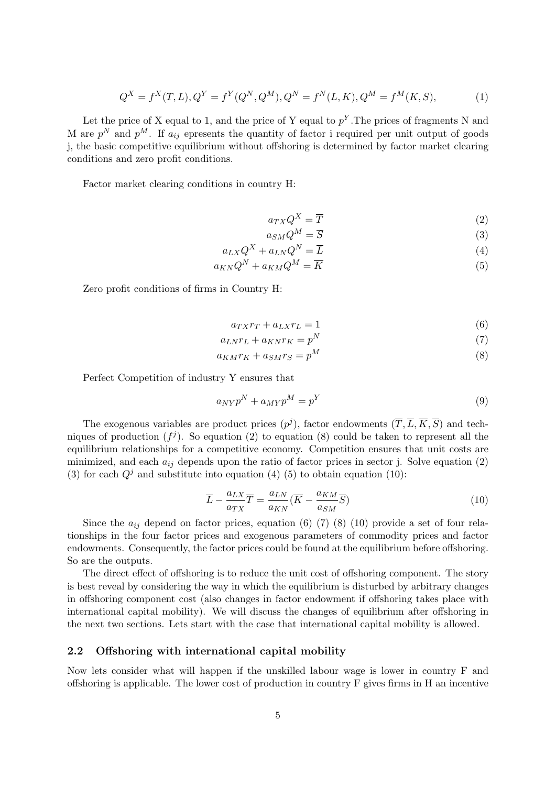$$
Q^X = f^X(T, L), Q^Y = f^Y(Q^N, Q^M), Q^N = f^N(L, K), Q^M = f^M(K, S),
$$
\n(1)

Let the price of X equal to 1, and the price of Y equal to  $p<sup>Y</sup>$ . The prices of fragments N and M are  $p^N$  and  $p^M$ . If  $a_{ij}$  epresents the quantity of factor i required per unit output of goods j, the basic competitive equilibrium without offshoring is determined by factor market clearing conditions and zero profit conditions.

Factor market clearing conditions in country H:

$$
a_{TX}Q^X = \overline{T}
$$
 (2)

$$
a_{SM}Q^M = \overline{S}
$$
 (3)

$$
a_{LX}Q^X + a_{LN}Q^N = \overline{L}
$$
\n<sup>(4)</sup>

$$
a_{KN}Q^N + a_{KM}Q^M = \overline{K}
$$
\n<sup>(5)</sup>

Zero profit conditions of firms in Country H:

$$
a_{TX}r_T + a_{LX}r_L = 1\tag{6}
$$

$$
a_{LN}r_L + a_{KN}r_K = p^N \tag{7}
$$

$$
a_{KM}r_K + a_{SM}r_S = p^M \tag{8}
$$

Perfect Competition of industry Y ensures that

$$
a_{NY}p^N + a_{MY}p^M = p^Y \tag{9}
$$

The exogenous variables are product prices  $(p^{j})$ , factor endowments  $(\overline{T}, \overline{L}, \overline{K}, \overline{S})$  and techniques of production  $(f^j)$ . So equation (2) to equation (8) could be taken to represent all the equilibrium relationships for a competitive economy. Competition ensures that unit costs are minimized, and each  $a_{ij}$  depends upon the ratio of factor prices in sector j. Solve equation (2) (3) for each  $Q<sup>j</sup>$  and substitute into equation (4) (5) to obtain equation (10):

$$
\overline{L} - \frac{a_{LX}}{a_{TX}} \overline{T} = \frac{a_{LN}}{a_{KN}} (\overline{K} - \frac{a_{KM}}{a_{SM}} \overline{S})
$$
(10)

Since the  $a_{ij}$  depend on factor prices, equation (6) (7) (8) (10) provide a set of four relationships in the four factor prices and exogenous parameters of commodity prices and factor endowments. Consequently, the factor prices could be found at the equilibrium before offshoring. So are the outputs.

The direct effect of offshoring is to reduce the unit cost of offshoring component. The story is best reveal by considering the way in which the equilibrium is disturbed by arbitrary changes in offshoring component cost (also changes in factor endowment if offshoring takes place with international capital mobility). We will discuss the changes of equilibrium after offshoring in the next two sections. Lets start with the case that international capital mobility is allowed.

### 2.2 Offshoring with international capital mobility

Now lets consider what will happen if the unskilled labour wage is lower in country F and offshoring is applicable. The lower cost of production in country F gives firms in H an incentive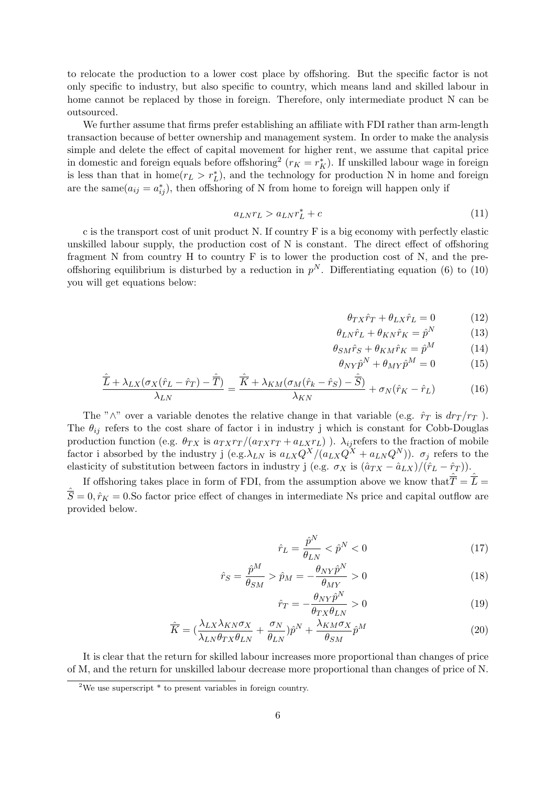to relocate the production to a lower cost place by offshoring. But the specific factor is not only specific to industry, but also specific to country, which means land and skilled labour in home cannot be replaced by those in foreign. Therefore, only intermediate product N can be outsourced.

We further assume that firms prefer establishing an affiliate with FDI rather than arm-length transaction because of better ownership and management system. In order to make the analysis simple and delete the effect of capital movement for higher rent, we assume that capital price in domestic and foreign equals before offshoring<sup>2</sup> ( $r_K = r_K^*$ ). If unskilled labour wage in foreign is less than that in home $(r_L > r_L^*)$ , and the technology for production N in home and foreign are the same $(a_{ij} = a_{ij}^*)$ , then offshoring of N from home to foreign will happen only if

$$
a_{LNTL} > a_{LNT_L}^* + c \tag{11}
$$

c is the transport cost of unit product N. If country F is a big economy with perfectly elastic unskilled labour supply, the production cost of N is constant. The direct effect of offshoring fragment N from country H to country F is to lower the production cost of N, and the preoffshoring equilibrium is disturbed by a reduction in  $p<sup>N</sup>$ . Differentiating equation (6) to (10) you will get equations below:

$$
\theta_{TX}\hat{r}_T + \theta_{LX}\hat{r}_L = 0 \tag{12}
$$

$$
\theta_{LN}\hat{r}_L + \theta_{KN}\hat{r}_K = \hat{p}^N \tag{13}
$$

$$
\theta_{SM}\hat{r}_S + \theta_{KM}\hat{r}_K = \hat{p}^M \tag{14}
$$

$$
\theta_{NY}\hat{p}^N + \theta_{MY}\hat{p}^M = 0 \tag{15}
$$

$$
\frac{\hat{\overline{L}} + \lambda_{LX} (\sigma_X (\hat{r}_L - \hat{r}_T) - \hat{\overline{T}})}{\lambda_{LN}} = \frac{\hat{\overline{K}} + \lambda_{KM} (\sigma_M (\hat{r}_k - \hat{r}_S) - \hat{\overline{S}})}{\lambda_{KN}} + \sigma_N (\hat{r}_K - \hat{r}_L)
$$
(16)

The "∧" over a variable denotes the relative change in that variable (e.g.  $\hat{r}_T$  is  $dr_T/r_T$ ). The  $\theta_{ij}$  refers to the cost share of factor i in industry j which is constant for Cobb-Douglas production function (e.g.  $\theta_{TX}$  is  $a_{T X} r_T/(a_{T X} r_T + a_{L X} r_L)$ ).  $\lambda_{ij}$  refers to the fraction of mobile factor i absorbed by the industry j (e.g.  $\lambda_{LN}$  is  $a_{LX}Q^X/(a_{LX}Q^X + a_{LN}Q^N)$ ).  $\sigma_j$  refers to the elasticity of substitution between factors in industry j (e.g.  $\sigma_X$  is  $(\hat{a}_{TX} - \hat{a}_{LX})/(\hat{r}_L - \hat{r}_T)$ ).

If offshoring takes place in form of FDI, from the assumption above we know that  $\hat{\overline{T}} = \hat{\overline{L}} =$  $\overline{S} = 0, \hat{r}_K = 0.$  So factor price effect of changes in intermediate Ns price and capital outflow are provided below.

$$
\hat{r}_L = \frac{\hat{p}^N}{\theta_{LN}} < \hat{p}^N < 0 \tag{17}
$$

$$
\hat{r}_S = \frac{\hat{p}^M}{\theta_{SM}} > \hat{p}_M = -\frac{\theta_{NY}\hat{p}^N}{\theta_{MY}} > 0
$$
\n(18)

$$
\hat{r}_T = -\frac{\theta_{NY}\hat{p}^N}{\theta_{TX}\theta_{LN}} > 0\tag{19}
$$

$$
\hat{\overline{K}} = (\frac{\lambda_{LX}\lambda_{KN}\sigma_X}{\lambda_{LN}\theta_{TX}\theta_{LN}} + \frac{\sigma_N}{\theta_{LN}})\hat{p}^N + \frac{\lambda_{KM}\sigma_X}{\theta_{SM}}\hat{p}^M
$$
\n(20)

It is clear that the return for skilled labour increases more proportional than changes of price of M, and the return for unskilled labour decrease more proportional than changes of price of N.

<sup>&</sup>lt;sup>2</sup>We use superscript \* to present variables in foreign country.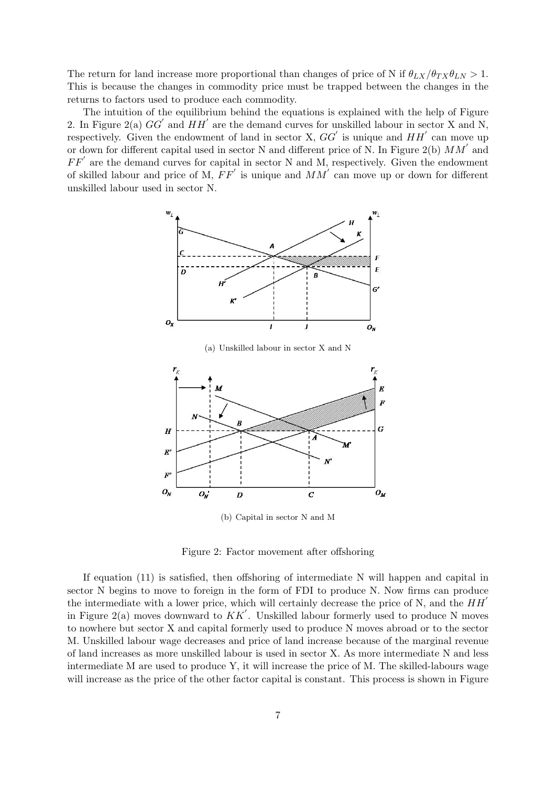The return for land increase more proportional than changes of price of N if  $\theta_{LX}/\theta_{TX}\theta_{LN} > 1$ . This is because the changes in commodity price must be trapped between the changes in the returns to factors used to produce each commodity.

The intuition of the equilibrium behind the equations is explained with the help of Figure 2. In Figure 2(a)  $GG'$  and  $HH'$  are the demand curves for unskilled labour in sector X and N, respectively. Given the endowment of land in sector X,  $GG'$  is unique and  $HH'$  can move up or down for different capital used in sector N and different price of N. In Figure 2(b)  $MM'$  and  $FF'$  are the demand curves for capital in sector N and M, respectively. Given the endowment of skilled labour and price of M,  $FF'$  is unique and  $MM'$  can move up or down for different unskilled labour used in sector N.



(a) Unskilled labour in sector X and N



(b) Capital in sector N and M

Figure 2: Factor movement after offshoring

If equation (11) is satisfied, then offshoring of intermediate N will happen and capital in sector N begins to move to foreign in the form of FDI to produce N. Now firms can produce the intermediate with a lower price, which will certainly decrease the price of N, and the  $HH'$ in Figure 2(a) moves downward to  $KK'$ . Unskilled labour formerly used to produce N moves to nowhere but sector X and capital formerly used to produce N moves abroad or to the sector M. Unskilled labour wage decreases and price of land increase because of the marginal revenue of land increases as more unskilled labour is used in sector X. As more intermediate N and less intermediate M are used to produce Y, it will increase the price of M. The skilled-labours wage will increase as the price of the other factor capital is constant. This process is shown in Figure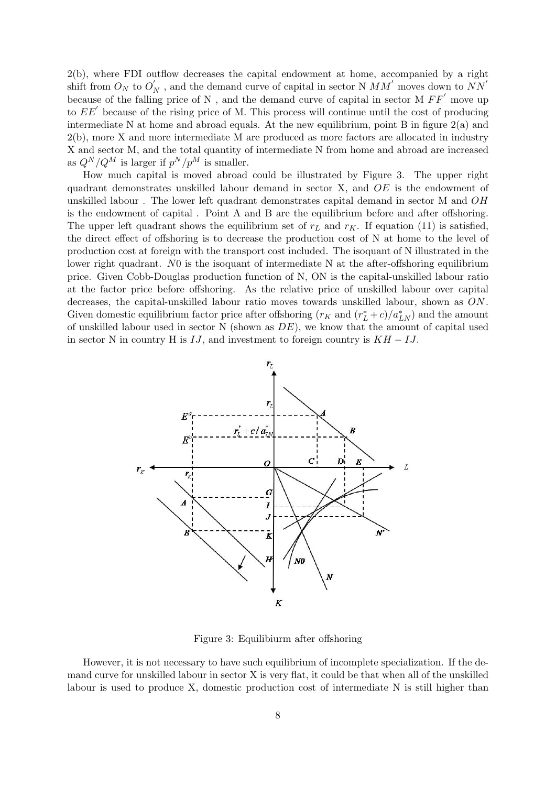2(b), where FDI outflow decreases the capital endowment at home, accompanied by a right shift from  $O_N$  to  $O_N'$  , and the demand curve of capital in sector N  $MM'$  moves down to  $NN'$ because of the falling price of N , and the demand curve of capital in sector M  $FF'$  move up to  $EE'$  because of the rising price of M. This process will continue until the cost of producing intermediate N at home and abroad equals. At the new equilibrium, point B in figure  $2(a)$  and 2(b), more X and more intermediate M are produced as more factors are allocated in industry X and sector M, and the total quantity of intermediate N from home and abroad are increased as  $Q^N/Q^M$  is larger if  $p^N/p^M$  is smaller.

How much capital is moved abroad could be illustrated by Figure 3. The upper right quadrant demonstrates unskilled labour demand in sector X, and OE is the endowment of unskilled labour . The lower left quadrant demonstrates capital demand in sector M and OH is the endowment of capital . Point A and B are the equilibrium before and after offshoring. The upper left quadrant shows the equilibrium set of  $r<sub>L</sub>$  and  $r<sub>K</sub>$ . If equation (11) is satisfied, the direct effect of offshoring is to decrease the production cost of N at home to the level of production cost at foreign with the transport cost included. The isoquant of N illustrated in the lower right quadrant. N<sub>0</sub> is the isoquant of intermediate N at the after-offshoring equilibrium price. Given Cobb-Douglas production function of N, ON is the capital-unskilled labour ratio at the factor price before offshoring. As the relative price of unskilled labour over capital decreases, the capital-unskilled labour ratio moves towards unskilled labour, shown as ON . Given domestic equilibrium factor price after offshoring  $(r_K$  and  $(r_L^* + c)/a_{LN}^*$ ) and the amount of unskilled labour used in sector  $N$  (shown as  $DE$ ), we know that the amount of capital used in sector N in country H is  $IJ$ , and investment to foreign country is  $KH - IJ$ .



Figure 3: Equilibiurm after offshoring

However, it is not necessary to have such equilibrium of incomplete specialization. If the demand curve for unskilled labour in sector X is very flat, it could be that when all of the unskilled labour is used to produce X, domestic production cost of intermediate N is still higher than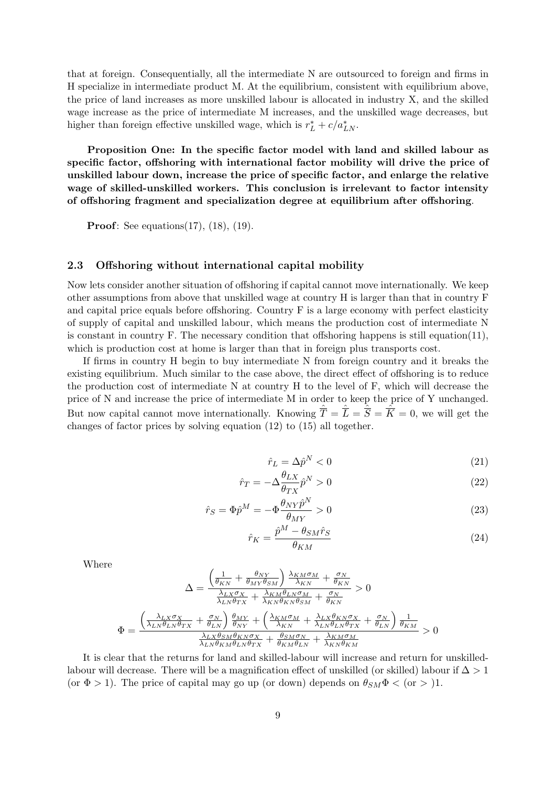that at foreign. Consequentially, all the intermediate N are outsourced to foreign and firms in H specialize in intermediate product M. At the equilibrium, consistent with equilibrium above, the price of land increases as more unskilled labour is allocated in industry X, and the skilled wage increase as the price of intermediate M increases, and the unskilled wage decreases, but higher than foreign effective unskilled wage, which is  $r_L^* + c/a_{LN}^*$ .

Proposition One: In the specific factor model with land and skilled labour as specific factor, offshoring with international factor mobility will drive the price of unskilled labour down, increase the price of specific factor, and enlarge the relative wage of skilled-unskilled workers. This conclusion is irrelevant to factor intensity of offshoring fragment and specialization degree at equilibrium after offshoring.

**Proof**: See equations(17), (18), (19).

#### 2.3 Offshoring without international capital mobility

Now lets consider another situation of offshoring if capital cannot move internationally. We keep other assumptions from above that unskilled wage at country H is larger than that in country F and capital price equals before offshoring. Country F is a large economy with perfect elasticity of supply of capital and unskilled labour, which means the production cost of intermediate N is constant in country  $F$ . The necessary condition that offshoring happens is still equation(11), which is production cost at home is larger than that in foreign plus transports cost.

If firms in country H begin to buy intermediate N from foreign country and it breaks the existing equilibrium. Much similar to the case above, the direct effect of offshoring is to reduce the production cost of intermediate N at country H to the level of F, which will decrease the price of N and increase the price of intermediate M in order to keep the price of Y unchanged. But now capital cannot move internationally. Knowing  $\hat{\overline{T}} = \hat{\overline{L}} = \hat{\overline{S}} = \hat{\overline{K}} = 0$ , we will get the changes of factor prices by solving equation (12) to (15) all together.

$$
\hat{r}_L = \Delta \hat{p}^N < 0 \tag{21}
$$

$$
\hat{r}_T = -\Delta \frac{\theta_{LX}}{\theta_{TX}} \hat{p}^N > 0 \tag{22}
$$

$$
\hat{r}_S = \Phi \hat{p}^M = -\Phi \frac{\theta_{NY} \hat{p}^N}{\theta_{MY}} > 0
$$
\n(23)

$$
\hat{r}_K = \frac{\hat{p}^M - \theta_{SM}\hat{r}_S}{\theta_{KM}}\tag{24}
$$

Where

$$
\Delta = \frac{\left(\frac{1}{\theta_{KN}} + \frac{\theta_{NY}}{\theta_{MY}\theta_{SM}}\right) \frac{\lambda_{KM}\sigma_M}{\lambda_{KN}} + \frac{\sigma_N}{\theta_{KN}}}{\frac{\lambda_{LN}\sigma_X}{\lambda_{LN}\theta_{TX}} + \frac{\lambda_{KM}\theta_{LN}\sigma_M}{\lambda_{KN}\theta_{KN}\theta_{SM}} + \frac{\sigma_N}{\theta_{KN}}} > 0
$$
\n
$$
\Phi = \frac{\left(\frac{\lambda_{LX}\sigma_X}{\lambda_{LN}\theta_{LN}\theta_{TX}} + \frac{\sigma_N}{\theta_{LN}}\right) \frac{\theta_{MY}}{\theta_{NY}} + \left(\frac{\lambda_{KM}\sigma_M}{\lambda_{KN}} + \frac{\lambda_{LN}\theta_{KN}\sigma_X}{\lambda_{LN}\theta_{LN}\theta_{TX}} + \frac{\sigma_N}{\theta_{LN}}\right) \frac{1}{\theta_{KM}}}{\frac{\lambda_{LN}\theta_{SM}\theta_{KN}\sigma_X}{\lambda_{LN}\theta_{KN}\theta_{LN}} + \frac{\theta_{SM}\sigma_N}{\theta_{KM}\theta_{LN}} + \frac{\lambda_{KM}\sigma_M}{\lambda_{KN}\theta_{KM}}} > 0
$$

It is clear that the returns for land and skilled-labour will increase and return for unskilledlabour will decrease. There will be a magnification effect of unskilled (or skilled) labour if  $\Delta > 1$ (or  $\Phi > 1$ ). The price of capital may go up (or down) depends on  $\theta_{SM}\Phi <$  (or  $>$  )1.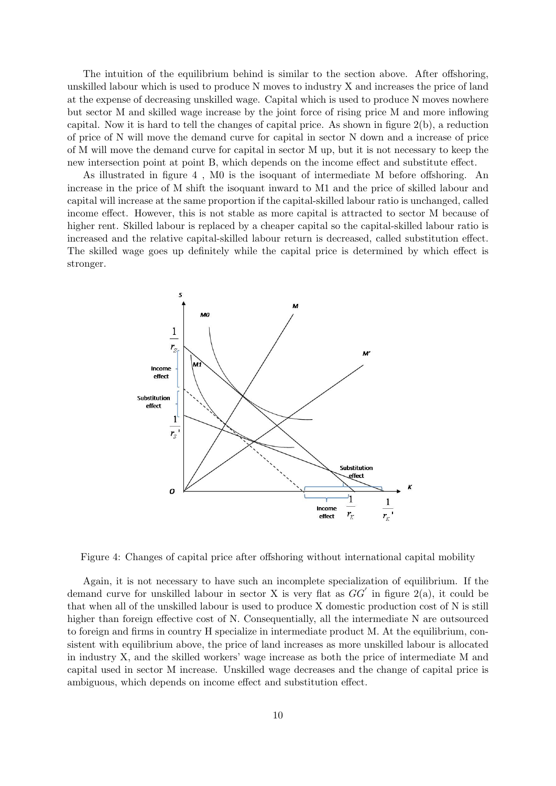The intuition of the equilibrium behind is similar to the section above. After offshoring, unskilled labour which is used to produce N moves to industry X and increases the price of land at the expense of decreasing unskilled wage. Capital which is used to produce N moves nowhere but sector M and skilled wage increase by the joint force of rising price M and more inflowing capital. Now it is hard to tell the changes of capital price. As shown in figure 2(b), a reduction of price of N will move the demand curve for capital in sector N down and a increase of price of M will move the demand curve for capital in sector M up, but it is not necessary to keep the new intersection point at point B, which depends on the income effect and substitute effect.

As illustrated in figure 4 , M0 is the isoquant of intermediate M before offshoring. An increase in the price of M shift the isoquant inward to M1 and the price of skilled labour and capital will increase at the same proportion if the capital-skilled labour ratio is unchanged, called income effect. However, this is not stable as more capital is attracted to sector M because of higher rent. Skilled labour is replaced by a cheaper capital so the capital-skilled labour ratio is increased and the relative capital-skilled labour return is decreased, called substitution effect. The skilled wage goes up definitely while the capital price is determined by which effect is stronger.



Figure 4: Changes of capital price after offshoring without international capital mobility

Again, it is not necessary to have such an incomplete specialization of equilibrium. If the demand curve for unskilled labour in sector X is very flat as  $GG'$  in figure 2(a), it could be that when all of the unskilled labour is used to produce X domestic production cost of N is still higher than foreign effective cost of N. Consequentially, all the intermediate N are outsourced to foreign and firms in country H specialize in intermediate product M. At the equilibrium, consistent with equilibrium above, the price of land increases as more unskilled labour is allocated in industry X, and the skilled workers' wage increase as both the price of intermediate M and capital used in sector M increase. Unskilled wage decreases and the change of capital price is ambiguous, which depends on income effect and substitution effect.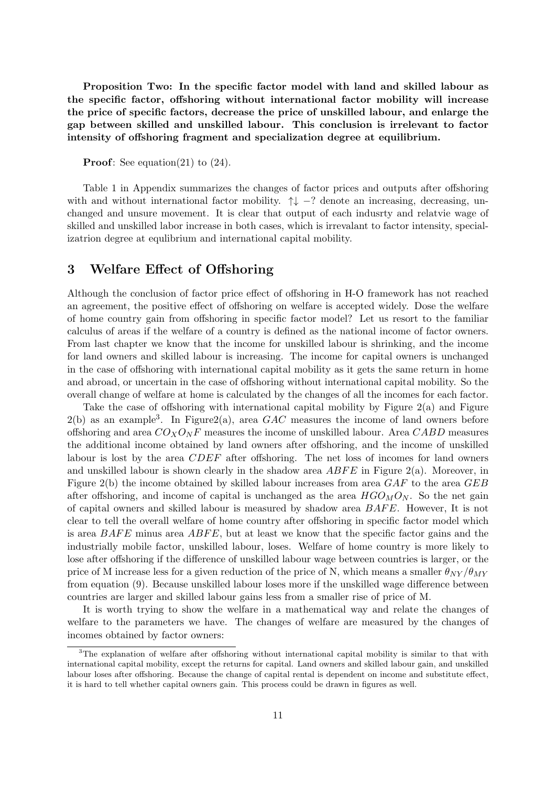Proposition Two: In the specific factor model with land and skilled labour as the specific factor, offshoring without international factor mobility will increase the price of specific factors, decrease the price of unskilled labour, and enlarge the gap between skilled and unskilled labour. This conclusion is irrelevant to factor intensity of offshoring fragment and specialization degree at equilibrium.

**Proof:** See equation(21) to  $(24)$ .

Table 1 in Appendix summarizes the changes of factor prices and outputs after offshoring with and without international factor mobility.  $\uparrow \downarrow -?$  denote an increasing, decreasing, unchanged and unsure movement. It is clear that output of each indusrty and relatvie wage of skilled and unskilled labor increase in both cases, which is irrevalant to factor intensity, specializatrion degree at equlibrium and international capital mobility.

### 3 Welfare Effect of Offshoring

Although the conclusion of factor price effect of offshoring in H-O framework has not reached an agreement, the positive effect of offshoring on welfare is accepted widely. Dose the welfare of home country gain from offshoring in specific factor model? Let us resort to the familiar calculus of areas if the welfare of a country is defined as the national income of factor owners. From last chapter we know that the income for unskilled labour is shrinking, and the income for land owners and skilled labour is increasing. The income for capital owners is unchanged in the case of offshoring with international capital mobility as it gets the same return in home and abroad, or uncertain in the case of offshoring without international capital mobility. So the overall change of welfare at home is calculated by the changes of all the incomes for each factor.

Take the case of offshoring with international capital mobility by Figure 2(a) and Figure  $2(b)$  as an example<sup>3</sup>. In Figure2(a), area GAC measures the income of land owners before offshoring and area  $CO_XO_NF$  measures the income of unskilled labour. Area  $CABD$  measures the additional income obtained by land owners after offshoring, and the income of unskilled labour is lost by the area CDEF after offshoring. The net loss of incomes for land owners and unskilled labour is shown clearly in the shadow area  $ABFE$  in Figure 2(a). Moreover, in Figure 2(b) the income obtained by skilled labour increases from area  $GAF$  to the area  $GEB$ after offshoring, and income of capital is unchanged as the area  $HGO_MO_N$ . So the net gain of capital owners and skilled labour is measured by shadow area  $BAFE$ . However, It is not clear to tell the overall welfare of home country after offshoring in specific factor model which is area  $BAFE$  minus area  $ABFE$ , but at least we know that the specific factor gains and the industrially mobile factor, unskilled labour, loses. Welfare of home country is more likely to lose after offshoring if the difference of unskilled labour wage between countries is larger, or the price of M increase less for a given reduction of the price of N, which means a smaller  $\theta_{NY}/\theta_{MY}$ from equation (9). Because unskilled labour loses more if the unskilled wage difference between countries are larger and skilled labour gains less from a smaller rise of price of M.

It is worth trying to show the welfare in a mathematical way and relate the changes of welfare to the parameters we have. The changes of welfare are measured by the changes of incomes obtained by factor owners:

<sup>&</sup>lt;sup>3</sup>The explanation of welfare after offshoring without international capital mobility is similar to that with international capital mobility, except the returns for capital. Land owners and skilled labour gain, and unskilled labour loses after offshoring. Because the change of capital rental is dependent on income and substitute effect, it is hard to tell whether capital owners gain. This process could be drawn in figures as well.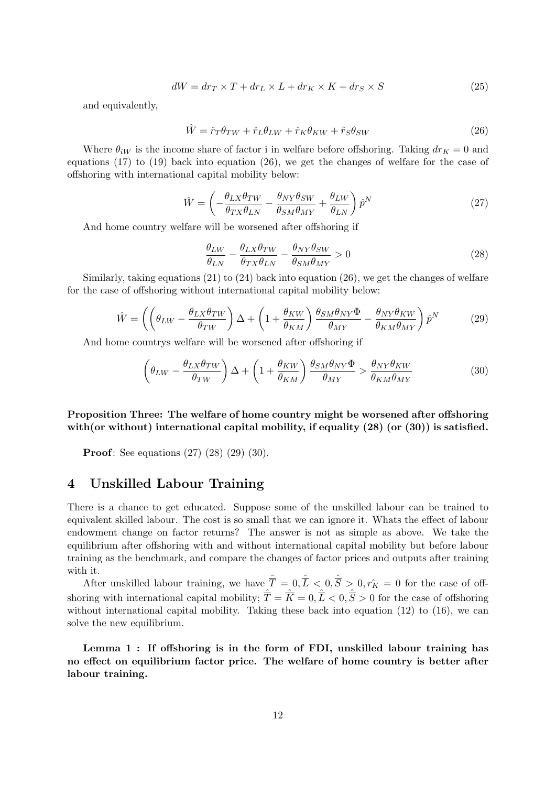$$
dW = dr_T \times T + dr_L \times L + dr_K \times K + dr_S \times S \tag{25}
$$

and equivalently,

$$
\hat{W} = \hat{r}_T \theta_{TW} + \hat{r}_L \theta_{LW} + \hat{r}_K \theta_{KW} + \hat{r}_S \theta_{SW}
$$
\n(26)

Where  $\theta_{iW}$  is the income share of factor i in welfare before offshoring. Taking  $dr_K = 0$  and equations  $(17)$  to  $(19)$  back into equation  $(26)$ , we get the changes of welfare for the case of offshoring with international capital mobility below:

$$
\hat{W} = \left( -\frac{\theta_{LX}\theta_{TW}}{\theta_{TX}\theta_{LN}} - \frac{\theta_{NY}\theta_{SW}}{\theta_{SM}\theta_{MY}} + \frac{\theta_{LW}}{\theta_{LN}} \right) \hat{p}^N \tag{27}
$$

And home country welfare will be worsened after offshoring if

$$
\frac{\theta_{LW}}{\theta_{LN}} - \frac{\theta_{LX}\theta_{TW}}{\theta_{TX}\theta_{LN}} - \frac{\theta_{NY}\theta_{SW}}{\theta_{SM}\theta_{MY}} > 0
$$
\n(28)

Similarly, taking equations  $(21)$  to  $(24)$  back into equation  $(26)$ , we get the changes of welfare for the case of offshoring without international capital mobility below:

$$
\hat{W} = \left( \left( \theta_{LW} - \frac{\theta_{LX} \theta_{TW}}{\theta_{TW}} \right) \Delta + \left( 1 + \frac{\theta_{KW}}{\theta_{KM}} \right) \frac{\theta_{SM} \theta_{NY} \Phi}{\theta_{MY}} - \frac{\theta_{NY} \theta_{KW}}{\theta_{KM} \theta_{MY}} \right) \hat{p}^N \tag{29}
$$

And home countrys welfare will be worsened after offshoring if

$$
\left(\theta_{LW} - \frac{\theta_{LX}\theta_{TW}}{\theta_{TW}}\right)\Delta + \left(1 + \frac{\theta_{KW}}{\theta_{KM}}\right)\frac{\theta_{SM}\theta_{NY}\Phi}{\theta_{MY}} > \frac{\theta_{NY}\theta_{KW}}{\theta_{KM}\theta_{MY}}
$$
(30)

Proposition Three: The welfare of home country might be worsened after offshoring with (or without) international capital mobility, if equality  $(28)$  (or  $(30)$ ) is satisfied.

Proof: See equations (27) (28) (29) (30).

### 4 Unskilled Labour Training

There is a chance to get educated. Suppose some of the unskilled labour can be trained to equivalent skilled labour. The cost is so small that we can ignore it. Whats the effect of labour endowment change on factor returns? The answer is not as simple as above. We take the equilibrium after offshoring with and without international capital mobility but before labour training as the benchmark, and compare the changes of factor prices and outputs after training with it.

After unskilled labour training, we have  $\hat{\overline{T}} = 0, \hat{\overline{L}} < 0, \hat{\overline{S}} > 0, r_K = 0$  for the case of offshoring with international capital mobility;  $\hat{\overline{T}} = \hat{\overline{K}} = 0, \hat{\overline{L}} < 0, \hat{\overline{S}} > 0$  for the case of offshoring without international capital mobility. Taking these back into equation  $(12)$  to  $(16)$ , we can solve the new equilibrium.

Lemma 1 : If offshoring is in the form of FDI, unskilled labour training has no effect on equilibrium factor price. The welfare of home country is better after labour training.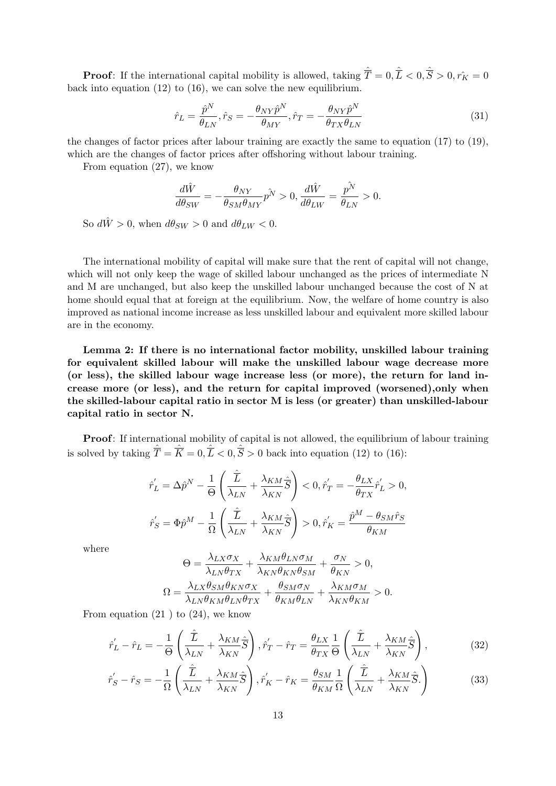**Proof**: If the international capital mobility is allowed, taking  $\hat{\overline{T}} = 0$ ,  $\hat{\overline{L}} < 0$ ,  $\hat{\overline{S}} > 0$ ,  $r_K = 0$ back into equation (12) to (16), we can solve the new equilibrium.

$$
\hat{r}_L = \frac{\hat{p}^N}{\theta_{LN}}, \hat{r}_S = -\frac{\theta_{NY}\hat{p}^N}{\theta_{MY}}, \hat{r}_T = -\frac{\theta_{NY}\hat{p}^N}{\theta_{TX}\theta_{LN}}
$$
\n(31)

the changes of factor prices after labour training are exactly the same to equation (17) to (19), which are the changes of factor prices after offshoring without labour training.

From equation (27), we know

$$
\frac{d\hat{W}}{d\theta_{SW}} = -\frac{\theta_{NY}}{\theta_{SM}\theta_{MY}}p^{\hat{N}} > 0, \frac{d\hat{W}}{d\theta_{LW}} = \frac{p^{\hat{N}}}{\theta_{LN}} > 0.
$$

So  $d\hat{W} > 0$ , when  $d\theta_{SW} > 0$  and  $d\theta_{LW} < 0$ .

The international mobility of capital will make sure that the rent of capital will not change, which will not only keep the wage of skilled labour unchanged as the prices of intermediate N and M are unchanged, but also keep the unskilled labour unchanged because the cost of N at home should equal that at foreign at the equilibrium. Now, the welfare of home country is also improved as national income increase as less unskilled labour and equivalent more skilled labour are in the economy.

Lemma 2: If there is no international factor mobility, unskilled labour training for equivalent skilled labour will make the unskilled labour wage decrease more (or less), the skilled labour wage increase less (or more), the return for land increase more (or less), and the return for capital improved (worsened),only when the skilled-labour capital ratio in sector M is less (or greater) than unskilled-labour capital ratio in sector N.

Proof: If international mobility of capital is not allowed, the equilibrium of labour training is solved by taking  $\hat{\overline{T}} = \hat{\overline{K}} = 0, \hat{\overline{L}} < 0, \hat{\overline{S}} > 0$  back into equation (12) to (16):

$$
\begin{split} \hat{r_{L}}' &= \Delta \hat{p}^{N} - \frac{1}{\Theta} \left( \frac{\hat{\overline{L}}}{\lambda_{LN}} + \frac{\lambda_{KM}}{\lambda_{KN}} \hat{\overline{S}} \right) < 0, \hat{r_{T}}' = -\frac{\theta_{LX}}{\theta_{TX}} \hat{r_{L}}' > 0, \\ \hat{r_{S}}' &= \Phi \hat{p}^{M} - \frac{1}{\Omega} \left( \frac{\hat{\overline{L}}}{\lambda_{LN}} + \frac{\lambda_{KM}}{\lambda_{KN}} \hat{\overline{S}} \right) > 0, \hat{r_{K}}' = \frac{\hat{p}^{M} - \theta_{SM} \hat{r}_{S}}{\theta_{KM}} \end{split}
$$

where

$$
\Theta = \frac{\lambda_{LX}\sigma_X}{\lambda_{LN}\theta_{TX}} + \frac{\lambda_{KM}\theta_{LN}\sigma_M}{\lambda_{KN}\theta_{KN}\theta_{SM}} + \frac{\sigma_N}{\theta_{KN}} > 0,
$$
  

$$
\Omega = \frac{\lambda_{LX}\theta_{SM}\theta_{KN}\sigma_X}{\lambda_{LN}\theta_{KM}\theta_{LN}\theta_{TX}} + \frac{\theta_{SM}\sigma_N}{\theta_{KM}\theta_{LN}} + \frac{\lambda_{KM}\sigma_M}{\lambda_{KN}\theta_{KM}} > 0.
$$

From equation  $(21)$  to  $(24)$ , we know

$$
\hat{r}'_L - \hat{r}_L = -\frac{1}{\Theta} \left( \frac{\hat{\overline{L}}}{\lambda_{LN}} + \frac{\lambda_{KM}}{\lambda_{KN}} \hat{\overline{S}} \right), \hat{r}'_T - \hat{r}_T = \frac{\theta_{LX}}{\theta_{TX}} \frac{1}{\Theta} \left( \frac{\hat{\overline{L}}}{\lambda_{LN}} + \frac{\lambda_{KM}}{\lambda_{KN}} \hat{\overline{S}} \right),\tag{32}
$$

$$
\hat{r}'_S - \hat{r}_S = -\frac{1}{\Omega} \left( \frac{\hat{\overline{L}}}{\lambda_{LN}} + \frac{\lambda_{KM}}{\lambda_{KN}} \hat{\overline{S}} \right), \hat{r}'_K - \hat{r}_K = \frac{\theta_{SM}}{\theta_{KM}} \frac{1}{\Omega} \left( \frac{\hat{\overline{L}}}{\lambda_{LN}} + \frac{\lambda_{KM}}{\lambda_{KN}} \hat{\overline{S}} \right)
$$
(33)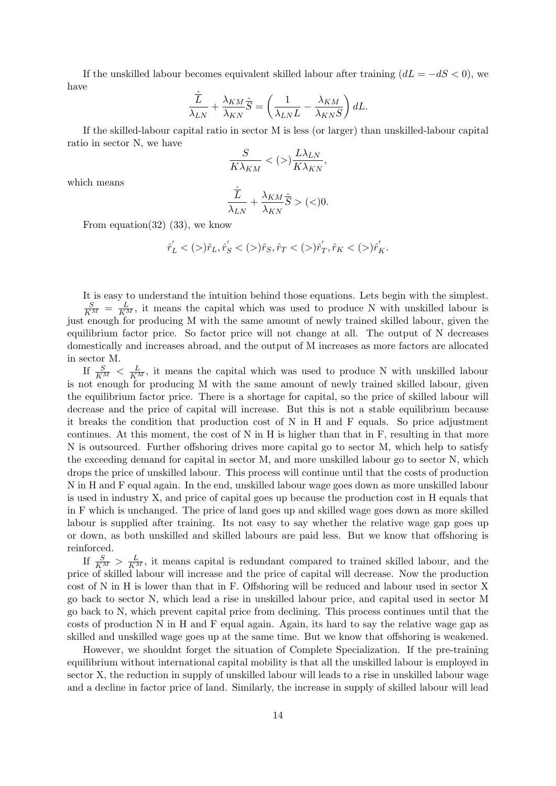If the unskilled labour becomes equivalent skilled labour after training  $(dL = -dS < 0)$ , we have

$$
\frac{\hat{\overline{L}}}{\lambda_{LN}} + \frac{\lambda_{KM}}{\lambda_{KN}} \hat{\overline{S}} = \left(\frac{1}{\lambda_{LN}L} - \frac{\lambda_{KM}}{\lambda_{KN}S}\right) dL.
$$

If the skilled-labour capital ratio in sector M is less (or larger) than unskilled-labour capital ratio in sector N, we have

$$
\frac{S}{K\lambda_{KM}} < (>)\frac{L\lambda_{LN}}{K\lambda_{KN}},
$$

which means

$$
\frac{\hat{\overline{L}}}{\lambda_{LN}} + \frac{\lambda_{KM}}{\lambda_{KN}} \hat{\overline{S}} > (<) 0.
$$

From equation(32) (33), we know

$$
\hat{r}'_L <(>)\hat{r}_L, \hat{r}'_S <(>)\hat{r}_S, \hat{r}_T <(>)\hat{r}'_T, \hat{r}_K <(>)\hat{r}'_K.
$$

It is easy to understand the intuition behind those equations. Lets begin with the simplest.  $\frac{S}{K^M} = \frac{L}{K^M}$ , it means the capital which was used to produce N with unskilled labour is just enough for producing M with the same amount of newly trained skilled labour, given the equilibrium factor price. So factor price will not change at all. The output of N decreases domestically and increases abroad, and the output of M increases as more factors are allocated in sector M.

If  $\frac{S}{K^M} < \frac{L}{K^M}$ , it means the capital which was used to produce N with unskilled labour is not enough for producing M with the same amount of newly trained skilled labour, given the equilibrium factor price. There is a shortage for capital, so the price of skilled labour will decrease and the price of capital will increase. But this is not a stable equilibrium because it breaks the condition that production cost of N in H and F equals. So price adjustment continues. At this moment, the cost of N in H is higher than that in F, resulting in that more N is outsourced. Further offshoring drives more capital go to sector M, which help to satisfy the exceeding demand for capital in sector M, and more unskilled labour go to sector N, which drops the price of unskilled labour. This process will continue until that the costs of production N in H and F equal again. In the end, unskilled labour wage goes down as more unskilled labour is used in industry X, and price of capital goes up because the production cost in H equals that in F which is unchanged. The price of land goes up and skilled wage goes down as more skilled labour is supplied after training. Its not easy to say whether the relative wage gap goes up or down, as both unskilled and skilled labours are paid less. But we know that offshoring is reinforced.

If  $\frac{S}{K^M} > \frac{L}{K^M}$ , it means capital is redundant compared to trained skilled labour, and the price of skilled labour will increase and the price of capital will decrease. Now the production cost of N in H is lower than that in F. Offshoring will be reduced and labour used in sector X go back to sector N, which lead a rise in unskilled labour price, and capital used in sector M go back to N, which prevent capital price from declining. This process continues until that the costs of production N in H and F equal again. Again, its hard to say the relative wage gap as skilled and unskilled wage goes up at the same time. But we know that offshoring is weakened.

However, we shouldnt forget the situation of Complete Specialization. If the pre-training equilibrium without international capital mobility is that all the unskilled labour is employed in sector X, the reduction in supply of unskilled labour will leads to a rise in unskilled labour wage and a decline in factor price of land. Similarly, the increase in supply of skilled labour will lead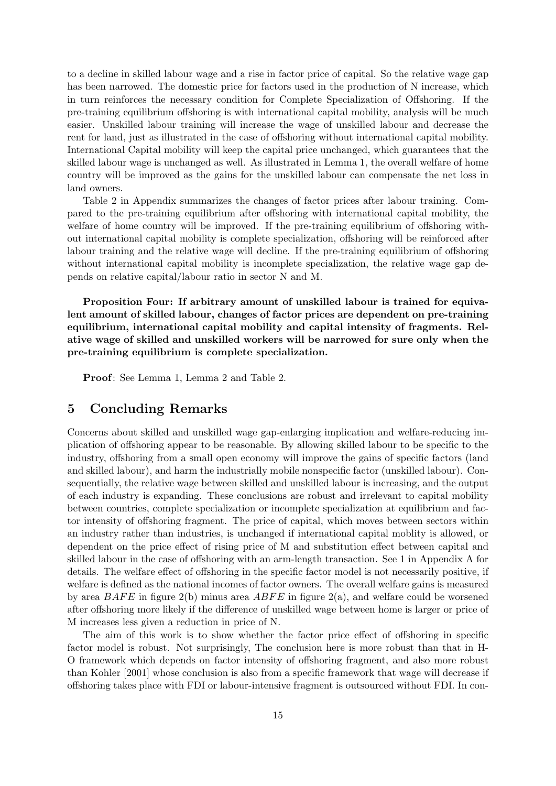to a decline in skilled labour wage and a rise in factor price of capital. So the relative wage gap has been narrowed. The domestic price for factors used in the production of N increase, which in turn reinforces the necessary condition for Complete Specialization of Offshoring. If the pre-training equilibrium offshoring is with international capital mobility, analysis will be much easier. Unskilled labour training will increase the wage of unskilled labour and decrease the rent for land, just as illustrated in the case of offshoring without international capital mobility. International Capital mobility will keep the capital price unchanged, which guarantees that the skilled labour wage is unchanged as well. As illustrated in Lemma 1, the overall welfare of home country will be improved as the gains for the unskilled labour can compensate the net loss in land owners.

Table 2 in Appendix summarizes the changes of factor prices after labour training. Compared to the pre-training equilibrium after offshoring with international capital mobility, the welfare of home country will be improved. If the pre-training equilibrium of offshoring without international capital mobility is complete specialization, offshoring will be reinforced after labour training and the relative wage will decline. If the pre-training equilibrium of offshoring without international capital mobility is incomplete specialization, the relative wage gap depends on relative capital/labour ratio in sector N and M.

Proposition Four: If arbitrary amount of unskilled labour is trained for equivalent amount of skilled labour, changes of factor prices are dependent on pre-training equilibrium, international capital mobility and capital intensity of fragments. Relative wage of skilled and unskilled workers will be narrowed for sure only when the pre-training equilibrium is complete specialization.

Proof: See Lemma 1, Lemma 2 and Table 2.

### 5 Concluding Remarks

Concerns about skilled and unskilled wage gap-enlarging implication and welfare-reducing implication of offshoring appear to be reasonable. By allowing skilled labour to be specific to the industry, offshoring from a small open economy will improve the gains of specific factors (land and skilled labour), and harm the industrially mobile nonspecific factor (unskilled labour). Consequentially, the relative wage between skilled and unskilled labour is increasing, and the output of each industry is expanding. These conclusions are robust and irrelevant to capital mobility between countries, complete specialization or incomplete specialization at equilibrium and factor intensity of offshoring fragment. The price of capital, which moves between sectors within an industry rather than industries, is unchanged if international capital moblity is allowed, or dependent on the price effect of rising price of M and substitution effect between capital and skilled labour in the case of offshoring with an arm-length transaction. See 1 in Appendix A for details. The welfare effect of offshoring in the specific factor model is not necessarily positive, if welfare is defined as the national incomes of factor owners. The overall welfare gains is measured by area  $BAFE$  in figure 2(b) minus area  $ABFE$  in figure 2(a), and welfare could be worsened after offshoring more likely if the difference of unskilled wage between home is larger or price of M increases less given a reduction in price of N.

The aim of this work is to show whether the factor price effect of offshoring in specific factor model is robust. Not surprisingly, The conclusion here is more robust than that in H-O framework which depends on factor intensity of offshoring fragment, and also more robust than Kohler [2001] whose conclusion is also from a specific framework that wage will decrease if offshoring takes place with FDI or labour-intensive fragment is outsourced without FDI. In con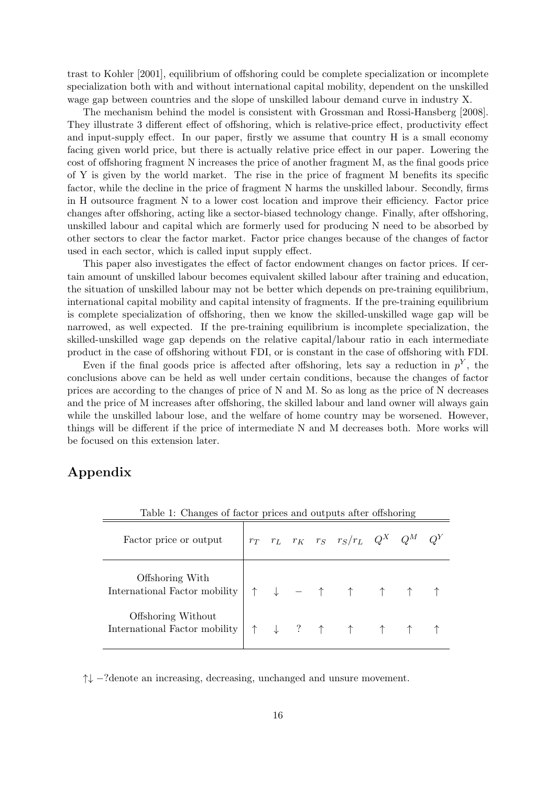trast to Kohler [2001], equilibrium of offshoring could be complete specialization or incomplete specialization both with and without international capital mobility, dependent on the unskilled wage gap between countries and the slope of unskilled labour demand curve in industry X.

The mechanism behind the model is consistent with Grossman and Rossi-Hansberg [2008]. They illustrate 3 different effect of offshoring, which is relative-price effect, productivity effect and input-supply effect. In our paper, firstly we assume that country H is a small economy facing given world price, but there is actually relative price effect in our paper. Lowering the cost of offshoring fragment N increases the price of another fragment M, as the final goods price of Y is given by the world market. The rise in the price of fragment M benefits its specific factor, while the decline in the price of fragment N harms the unskilled labour. Secondly, firms in H outsource fragment N to a lower cost location and improve their efficiency. Factor price changes after offshoring, acting like a sector-biased technology change. Finally, after offshoring, unskilled labour and capital which are formerly used for producing N need to be absorbed by other sectors to clear the factor market. Factor price changes because of the changes of factor used in each sector, which is called input supply effect.

This paper also investigates the effect of factor endowment changes on factor prices. If certain amount of unskilled labour becomes equivalent skilled labour after training and education, the situation of unskilled labour may not be better which depends on pre-training equilibrium, international capital mobility and capital intensity of fragments. If the pre-training equilibrium is complete specialization of offshoring, then we know the skilled-unskilled wage gap will be narrowed, as well expected. If the pre-training equilibrium is incomplete specialization, the skilled-unskilled wage gap depends on the relative capital/labour ratio in each intermediate product in the case of offshoring without FDI, or is constant in the case of offshoring with FDI.

Even if the final goods price is affected after offshoring, lets say a reduction in  $p<sup>Y</sup>$ , the conclusions above can be held as well under certain conditions, because the changes of factor prices are according to the changes of price of N and M. So as long as the price of N decreases and the price of M increases after offshoring, the skilled labour and land owner will always gain while the unskilled labour lose, and the welfare of home country may be worsened. However, things will be different if the price of intermediate N and M decreases both. More works will be focused on this extension later.

## Appendix

| Table 1: Changes of factor prices and outputs after offshoring |  |  |  |  |                                               |  |  |  |
|----------------------------------------------------------------|--|--|--|--|-----------------------------------------------|--|--|--|
| Factor price or output                                         |  |  |  |  | $r_T$ $r_L$ $r_K$ $r_S$ $r_S/r_L$ $Q^X$ $Q^M$ |  |  |  |
| Offshoring With<br>International Factor mobility               |  |  |  |  | $\downarrow$ - 1 1 1 1                        |  |  |  |
| Offshoring Without<br>International Factor mobility            |  |  |  |  | ↑ ↓ ? ↑ ↑ ↑ ↑                                 |  |  |  |

Table 1: Changes of factor prices and outputs after offshoring

↑↓ −?denote an increasing, decreasing, unchanged and unsure movement.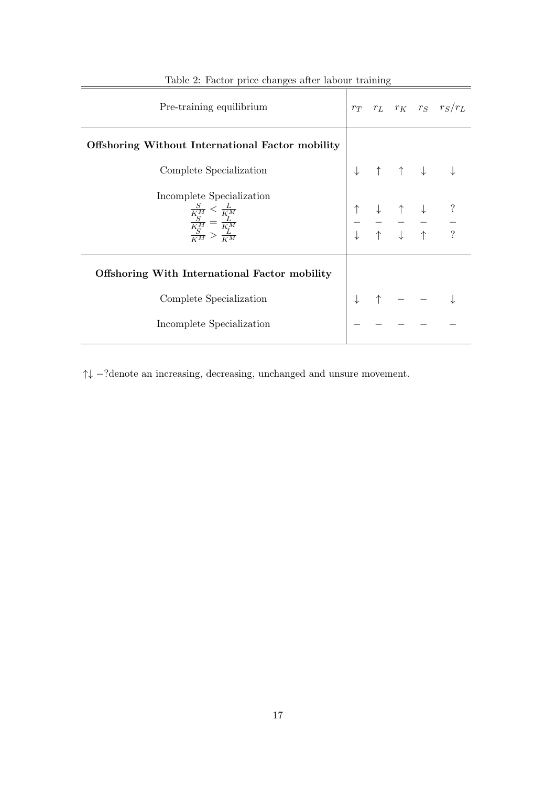| Pre-training equilibrium                                                                                 |  |  |  | $r_T$ $r_L$ $r_K$ $r_S$ $r_S/r_L$                                                                                                                                                                                                                                                                         |
|----------------------------------------------------------------------------------------------------------|--|--|--|-----------------------------------------------------------------------------------------------------------------------------------------------------------------------------------------------------------------------------------------------------------------------------------------------------------|
| Offshoring Without International Factor mobility                                                         |  |  |  |                                                                                                                                                                                                                                                                                                           |
| Complete Specialization                                                                                  |  |  |  |                                                                                                                                                                                                                                                                                                           |
| Incomplete Specialization<br>$\frac{\frac{S}{K_M^M}<\frac{L}{K_M^M}}{\frac{K_M}{K_M^M}>\frac{L}{K_M^M}}$ |  |  |  | $\begin{array}{ccccccc}\n\uparrow & \uparrow & \downarrow & \downarrow & \downarrow \\ \hline\n\end{array}$<br>$\begin{array}{ccccccccccccc} \uparrow & & \downarrow & & \uparrow & & \downarrow & & ? \\ - & - & - & - & - & - \\ \downarrow & & \uparrow & & \downarrow & & \uparrow & & ? \end{array}$ |
| <b>Offshoring With International Factor mobility</b>                                                     |  |  |  |                                                                                                                                                                                                                                                                                                           |
| Complete Specialization                                                                                  |  |  |  |                                                                                                                                                                                                                                                                                                           |
| Incomplete Specialization                                                                                |  |  |  |                                                                                                                                                                                                                                                                                                           |

|  | Table 2: Factor price changes after labour training |  |  |  |  |  |  |
|--|-----------------------------------------------------|--|--|--|--|--|--|
|--|-----------------------------------------------------|--|--|--|--|--|--|

 $\uparrow\downarrow$  –?denote an increasing, decreasing, unchanged and unsure movement.